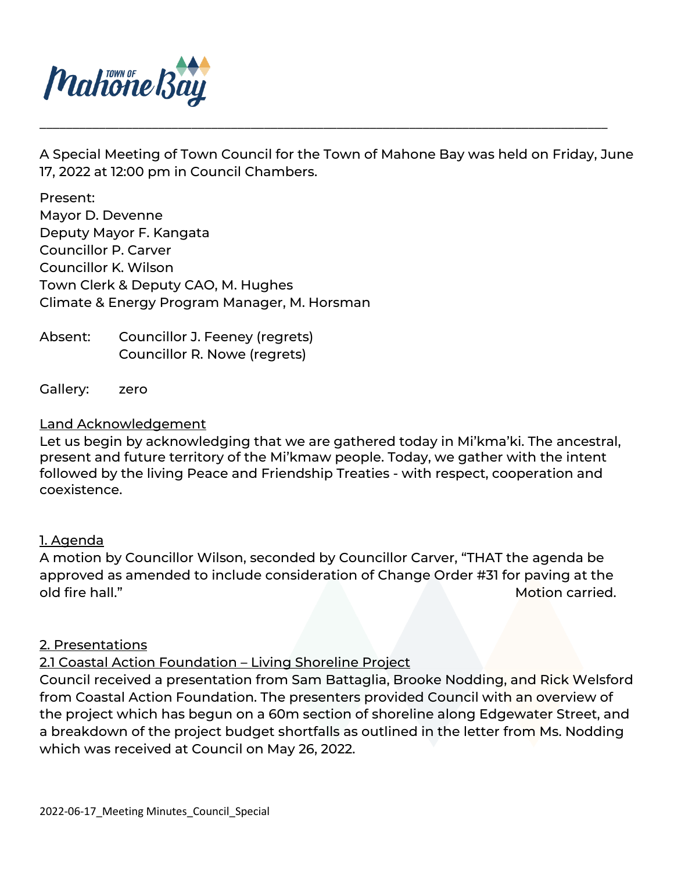

A Special Meeting of Town Council for the Town of Mahone Bay was held on Friday, June 17, 2022 at 12:00 pm in Council Chambers.

\_\_\_\_\_\_\_\_\_\_\_\_\_\_\_\_\_\_\_\_\_\_\_\_\_\_\_\_\_\_\_\_\_\_\_\_\_\_\_\_\_\_\_\_\_\_\_\_\_\_\_\_\_\_\_\_\_\_\_\_\_\_\_\_\_\_\_\_\_\_\_\_\_\_\_\_\_\_\_\_\_\_\_\_\_\_

Present: Mayor D. Devenne Deputy Mayor F. Kangata Councillor P. Carver Councillor K. Wilson Town Clerk & Deputy CAO, M. Hughes Climate & Energy Program Manager, M. Horsman

Absent: Councillor J. Feeney (regrets) Councillor R. Nowe (regrets)

Gallery: zero

## Land Acknowledgement

Let us begin by acknowledging that we are gathered today in Mi'kma'ki. The ancestral, present and future territory of the Mi'kmaw people. Today, we gather with the intent followed by the living Peace and Friendship Treaties - with respect, cooperation and coexistence.

### 1. Agenda

A motion by Councillor Wilson, seconded by Councillor Carver, "THAT the agenda be approved as amended to include consideration of Change Order #31 for paving at the old fire hall." Motion carried.

### 2. Presentations

### 2.1 Coastal Action Foundation – Living Shoreline Project

Council received a presentation from Sam Battaglia, Brooke Nodding, and Rick Welsford from Coastal Action Foundation. The presenters provided Council with an overview of the project which has begun on a 60m section of shoreline along Edgewater Street, and a breakdown of the project budget shortfalls as outlined in the letter from Ms. Nodding which was received at Council on May 26, 2022.